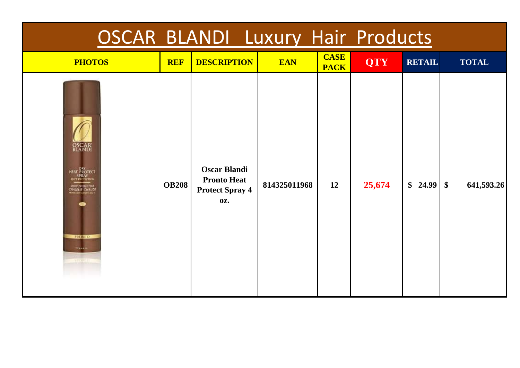| <b>OSCAR BLANDI Luxury Hair Products</b>                                                                                                                  |              |                                                                                   |              |                            |            |                    |              |  |  |  |
|-----------------------------------------------------------------------------------------------------------------------------------------------------------|--------------|-----------------------------------------------------------------------------------|--------------|----------------------------|------------|--------------------|--------------|--|--|--|
| <b>PHOTOS</b>                                                                                                                                             | <b>REF</b>   | <b>DESCRIPTION</b>                                                                | <b>EAN</b>   | <b>CASE</b><br><b>PACK</b> | <b>QTY</b> | <b>RETAIL</b>      | <b>TOTAL</b> |  |  |  |
| <b>OSCAR</b><br>BLANDI<br>DRY<br>HEAT PROTECT<br>HEE PROTECTION<br><b>TRAC PROTECTIVA</b><br>CHALEUR CHAUDE<br><b>PRONTO</b><br><b>HELVES</b><br>atgradie | <b>OB208</b> | <b>Oscar Blandi</b><br><b>Pronto Heat</b><br><b>Protect Spray 4</b><br><b>OZ.</b> | 814325011968 | 12                         | 25,674     | $$24.99 \;   \; $$ | 641,593.26   |  |  |  |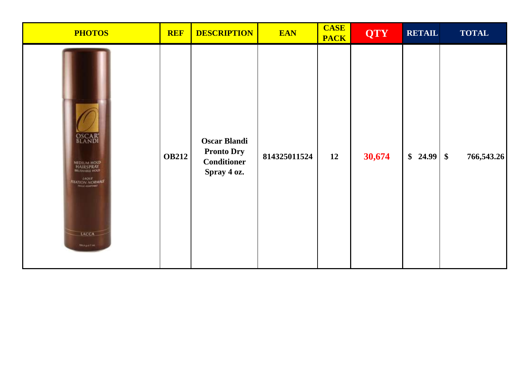| <b>PHOTOS</b>                                                                                                   | <b>REF</b>   | <b>DESCRIPTION</b>                                                            | <b>EAN</b>   | <b>CASE</b><br><b>PACK</b> | <b>QTY</b> | <b>RETAIL</b> | <b>TOTAL</b> |
|-----------------------------------------------------------------------------------------------------------------|--------------|-------------------------------------------------------------------------------|--------------|----------------------------|------------|---------------|--------------|
| <b>OSCAR</b><br>MEDIUM HOLD<br>HAIRSPRAY<br>MUSHAILE HOLD<br><b>THATION NORMALE</b><br>LACCA<br><b>Buagerie</b> | <b>OB212</b> | <b>Oscar Blandi</b><br><b>Pronto Dry</b><br><b>Conditioner</b><br>Spray 4 oz. | 814325011524 | 12                         | 30,674     |               | 766,543.26   |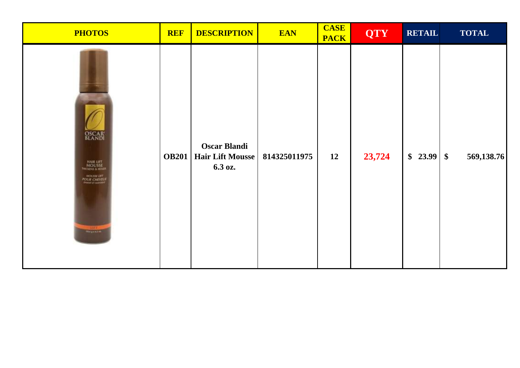| <b>PHOTOS</b>                                                                                                           | <b>REF</b>   | <b>DESCRIPTION</b>                                        | <b>EAN</b>   | <b>CASE</b><br><b>PACK</b> | <b>QTY</b> | <b>RETAIL</b> | <b>TOTAL</b> |
|-------------------------------------------------------------------------------------------------------------------------|--------------|-----------------------------------------------------------|--------------|----------------------------|------------|---------------|--------------|
| <b>OSCAR</b><br>BLANDI<br>HAIR LIFT<br>MOUSSE<br>THICKING & HOLDS<br><b>HOUSE UVI</b><br>POUR CHEVEUX<br><b>Magenda</b> | <b>OB201</b> | <b>Oscar Blandi</b><br><b>Hair Lift Mousse</b><br>6.3 oz. | 814325011975 | 12                         | 23,724     |               | 569,138.76   |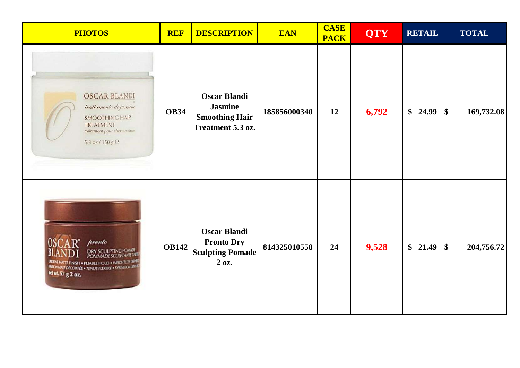| <b>PHOTOS</b>                                                                                                                                                                                              | <b>REF</b>   | <b>DESCRIPTION</b>                                                                  | <b>EAN</b>   | <b>CASE</b><br><b>PACK</b> | <b>QTY</b> | <b>RETAIL</b> | <b>TOTAL</b>                |
|------------------------------------------------------------------------------------------------------------------------------------------------------------------------------------------------------------|--------------|-------------------------------------------------------------------------------------|--------------|----------------------------|------------|---------------|-----------------------------|
| <b>OSCAR BLANDI</b><br>trattamento di jasmine<br><b>SMOOTHING HAIR</b><br>TREATMENT<br>traitement pour cheveux doux<br>5.3 oz / 150 g C                                                                    | <b>OB34</b>  | <b>Oscar Blandi</b><br><b>Jasmine</b><br><b>Smoothing Hair</b><br>Treatment 5.3 oz. | 185856000340 | 12                         | 6,792      | \$24.99       | $\frac{1}{2}$<br>169,732.08 |
| hronto<br><b>DRY SCULPTING POMMER</b><br><b>POMMADE SCULPTANTE OBS</b><br><b>UCONE MATTE FINISH . PLIABLE HOLD . WEIGHTLES DENNANTE DECONFEE . TENUE FLEXIBLE . DEFINITION LITE!</b><br>net wt. 57 g 2 oz. | <b>OB142</b> | <b>Oscar Blandi</b><br><b>Pronto Dry</b><br><b>Sculpting Pomade</b><br>2 oz.        | 814325010558 | 24                         | 9,528      |               | 204,756.72                  |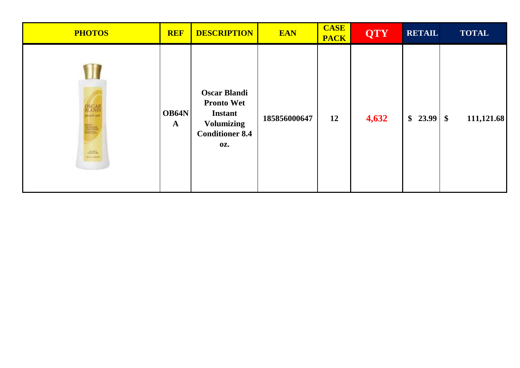| <b>PHOTOS</b>                                                       | <b>REF</b>            | <b>DESCRIPTION</b>                                                                                               | <b>EAN</b>   | <b>CASE</b><br><b>PACK</b> | <b>QTY</b> | <b>RETAIL</b> | <b>TOTAL</b> |
|---------------------------------------------------------------------|-----------------------|------------------------------------------------------------------------------------------------------------------|--------------|----------------------------|------------|---------------|--------------|
| OSCAL<br><b>H</b> AND<br>Annah an<br>E.<br>2001<br><b>SELL DONE</b> | OB64N<br>$\mathbf{A}$ | <b>Oscar Blandi</b><br><b>Pronto Wet</b><br><b>Instant</b><br><b>Volumizing</b><br><b>Conditioner 8.4</b><br>OZ. | 185856000647 | 12                         | 4,632      |               | 111,121.68   |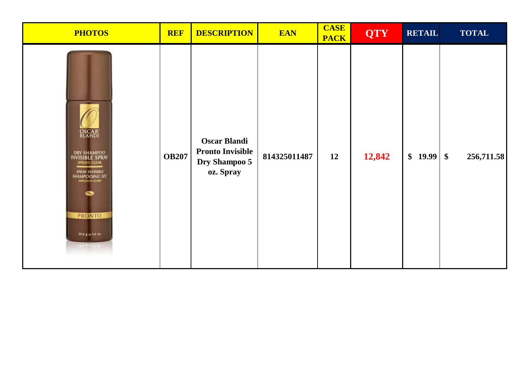| <b>PHOTOS</b>                                                                                                                                                             | <b>REF</b>   | <b>DESCRIPTION</b>                                                           | <b>EAN</b>   | <b>CASE</b><br><b>PACK</b> | <b>QTY</b> | <b>RETAIL</b> | <b>TOTAL</b> |
|---------------------------------------------------------------------------------------------------------------------------------------------------------------------------|--------------|------------------------------------------------------------------------------|--------------|----------------------------|------------|---------------|--------------|
| <b>OSCAR</b><br>BLANDI<br>DRY SHAMPOO<br>INVISIBLE SPRAY<br>SPRAYS CLEAR<br><b>SPRAY INVISIBLE</b><br>SHAMPOOING SEC<br><b>PRONTO</b><br>39.6 g o 14 oz.<br><b>REAGEN</b> | <b>OB207</b> | <b>Oscar Blandi</b><br><b>Pronto Invisible</b><br>Dry Shampoo 5<br>oz. Spray | 814325011487 | 12                         | 12,842     |               | 256,711.58   |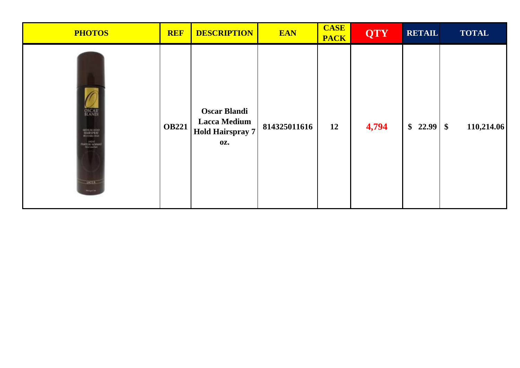| <b>PHOTOS</b>                                                                            | <b>REF</b>   | <b>DESCRIPTION</b>                                                                  | <b>EAN</b>   | <b>CASE</b><br><b>PACK</b> | <b>QTY</b> | <b>RETAIL</b> | <b>TOTAL</b> |
|------------------------------------------------------------------------------------------|--------------|-------------------------------------------------------------------------------------|--------------|----------------------------|------------|---------------|--------------|
| <b>DSCAR</b><br>MITTILUM HISRI<br>HAUKSPRAV<br><b>Customer Section</b><br>MCA<br>mounts. | <b>OB221</b> | <b>Oscar Blandi</b><br><b>Lacca Medium</b><br><b>Hold Hairspray 7</b><br><b>OZ.</b> | 814325011616 | 12                         | 4,794      |               | 110,214.06   |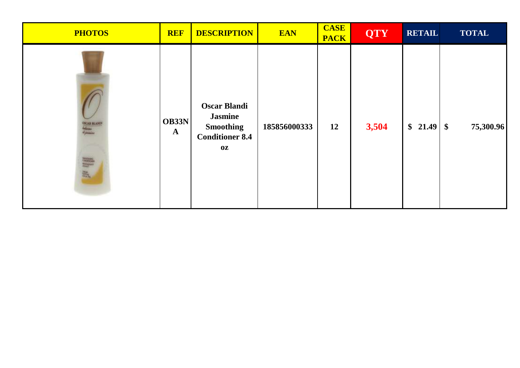| <b>PHOTOS</b>          | <b>REF</b>            | <b>DESCRIPTION</b>                                                                        | <b>EAN</b>   | <b>CASE</b><br><b>PACK</b> | <b>QTY</b> | <b>RETAIL</b> | <b>TOTAL</b> |
|------------------------|-----------------------|-------------------------------------------------------------------------------------------|--------------|----------------------------|------------|---------------|--------------|
| oscar mandi<br>44<br>評 | OB33N<br>$\mathbf{A}$ | <b>Oscar Blandi</b><br><b>Jasmine</b><br><b>Smoothing</b><br><b>Conditioner 8.4</b><br>0Z | 185856000333 | 12                         | 3,504      |               | 75,300.96    |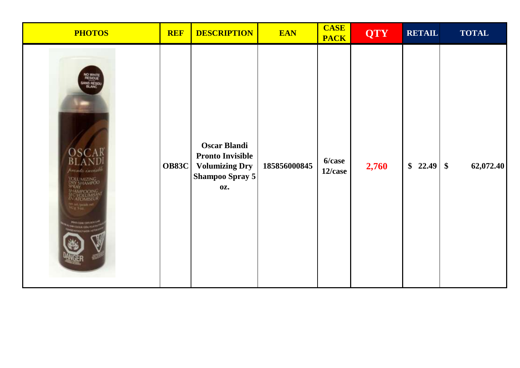| <b>PHOTOS</b>                                                                                                                                | <b>REF</b>   | <b>DESCRIPTION</b>                                                                                       | <b>EAN</b>   | <b>CASE</b><br><b>PACK</b> | <b>QTY</b> | <b>RETAIL</b> | <b>TOTAL</b> |
|----------------------------------------------------------------------------------------------------------------------------------------------|--------------|----------------------------------------------------------------------------------------------------------|--------------|----------------------------|------------|---------------|--------------|
| NO WHITE<br>RESIDUE<br>BLANC<br>OSCAR<br>pronto invesible<br>NIZING<br>HAMPOC<br><b>TOMISEL</b><br>ng anggo<br>Katalog<br><b>SMOKE RISK!</b> | <b>OB83C</b> | <b>Oscar Blandi</b><br><b>Pronto Invisible</b><br><b>Volumizing Dry</b><br>Shampoo Spray 5<br><b>OZ.</b> | 185856000845 | 6/case<br>12/case          | 2,760      |               | 62,072.40    |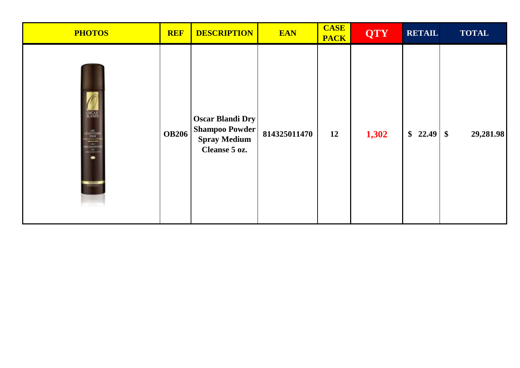| <b>PHOTOS</b>                                                                                                      | <b>REF</b>   | <b>DESCRIPTION</b>                                                                       | <b>EAN</b>   | <b>CASE</b><br><b>PACK</b> | <b>QTY</b> | <b>RETAIL</b> | <b>TOTAL</b> |
|--------------------------------------------------------------------------------------------------------------------|--------------|------------------------------------------------------------------------------------------|--------------|----------------------------|------------|---------------|--------------|
| <b>DSCAR</b><br><b>OR</b><br>SPEAK<br>SIGNATOR<br>BESNEVED<br>BESNEVED<br><b>REGNIO</b><br><b><i>Programme</i></b> | <b>OB206</b> | <b>Oscar Blandi Dry</b><br><b>Shampoo Powder</b><br><b>Spray Medium</b><br>Cleanse 5 oz. | 814325011470 | 12                         | 1,302      |               | 29,281.98    |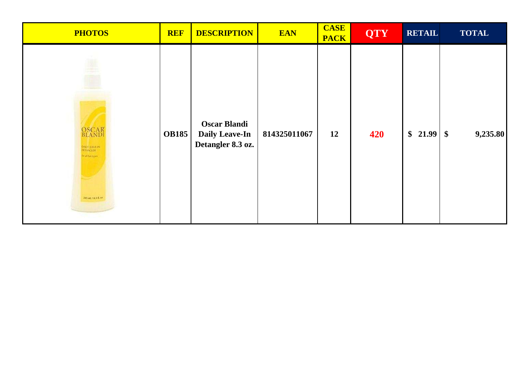| <b>PHOTOS</b>                                                                                                | <b>REF</b>   | <b>DESCRIPTION</b>                                                | <b>EAN</b>   | <b>CASE</b><br><b>PACK</b> | <b>QTY</b> | <b>RETAIL</b> | <b>TOTAL</b> |
|--------------------------------------------------------------------------------------------------------------|--------------|-------------------------------------------------------------------|--------------|----------------------------|------------|---------------|--------------|
| 闦<br><b>OSCAR</b><br>BLANDI<br><b><i><u>DULYTEAVE IN</u></i></b><br>to all havinger.<br>245 mt / a.s.c. etc. | <b>OB185</b> | <b>Oscar Blandi</b><br><b>Daily Leave-In</b><br>Detangler 8.3 oz. | 814325011067 | 12                         | 420        |               | 9,235.80     |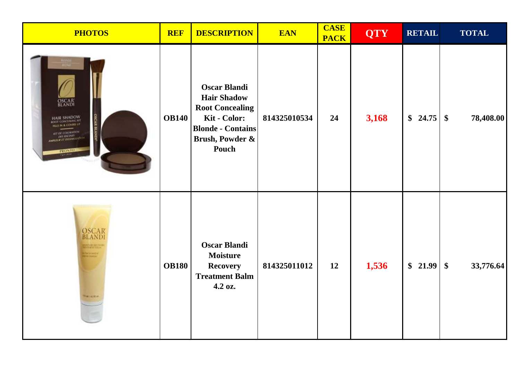| <b>PHOTOS</b>                                                                                                                                                        | <b>REF</b>   | <b>DESCRIPTION</b>                                                                                                                          | <b>EAN</b>   | <b>CASE</b><br><b>PACK</b> | <b>QTY</b> | <b>RETAIL</b> | <b>TOTAL</b>                           |
|----------------------------------------------------------------------------------------------------------------------------------------------------------------------|--------------|---------------------------------------------------------------------------------------------------------------------------------------------|--------------|----------------------------|------------|---------------|----------------------------------------|
| <b>OSCAR</b><br><b>BLANDI</b><br><b>HAIR SHADOW</b><br><b><i>ROOT CONCEALING KIT</i></b><br>AT DE COLORADON<br><b>DES ANCINES</b><br><b><i>APLEUX IT DISSUES</i></b> | <b>OB140</b> | <b>Oscar Blandi</b><br><b>Hair Shadow</b><br><b>Root Concealing</b><br>Kit - Color:<br><b>Blonde - Contains</b><br>Brush, Powder &<br>Pouch | 814325010534 | 24                         | 3,168      |               | 78,408.00                              |
| <b>OSCAR</b><br>BLANDI<br><b>REMARKAN</b><br><b>Manee</b><br><b><i>Histories</i></b>                                                                                 | <b>OB180</b> | <b>Oscar Blandi</b><br><b>Moisture</b><br><b>Recovery</b><br><b>Treatment Balm</b><br>4.2 oz.                                               | 814325011012 | 12                         | 1,536      | \$21.99       | 33,776.64<br>$\boldsymbol{\mathsf{S}}$ |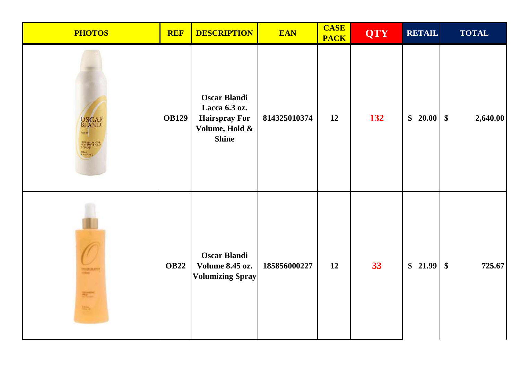| <b>PHOTOS</b>                                                                                                                                                  | <b>REF</b>   | <b>DESCRIPTION</b>                                                                             | <b>EAN</b>   | <b>CASE</b><br><b>PACK</b> | <b>QTY</b> | <b>RETAIL</b> | <b>TOTAL</b>            |
|----------------------------------------------------------------------------------------------------------------------------------------------------------------|--------------|------------------------------------------------------------------------------------------------|--------------|----------------------------|------------|---------------|-------------------------|
| <b>OSCAR</b><br>BLANDI<br>ARSPRAY FOR<br>CALIME HOLD<br>net act.<br>5.3 mg 179 p. –                                                                            | <b>OB129</b> | <b>Oscar Blandi</b><br>Lacca 6.3 oz.<br><b>Hairspray For</b><br>Volume, Hold &<br><b>Shine</b> | 814325010374 | 12                         | 132        | $$20.00$ \ \$ | 2,640.00                |
| <b>SCALINA</b><br>$\frac{1}{\sqrt{2}}\frac{1}{\sqrt{2}}\left( \frac{1}{\sqrt{2}}\right) ^{2}$<br>$\frac{1}{2} \frac{1}{2} \frac{1}{2} \frac{1}{2} \frac{1}{2}$ | <b>OB22</b>  | <b>Oscar Blandi</b><br><b>Volume 8.45 oz.</b><br><b>Volumizing Spray</b>                       | 185856000227 | 12                         | 33         | \$21.99       | 725.67<br>$\frac{1}{2}$ |